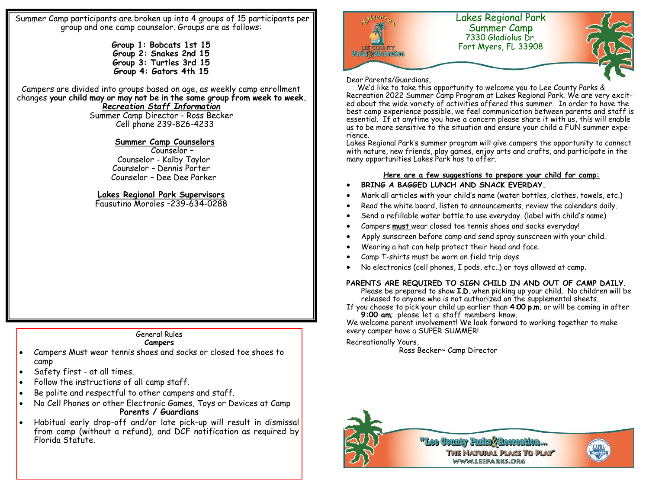Summer Camp participants are broken up into 4 groups of 15 participants per group and one camp counselor. Groups are as follows:

> **Group 1: Bobcats 1st 15 Group 2: Snakes 2nd 15 Group 3: Turtles 3rd 15 Group 4: Gators 4th 15**

Campers are divided into groups based on age, as weekly camp enrollment changes **your child may or may not be in the same group from week to week.**  *Recreation Staff Information*

Summer Camp Director - Ross Becker Cell phone 239-826-4233

### **Summer Camp Counselors**

 Counselor – Counselor - Kolby Taylor Counselor – Dennis Porter Counselor – Dee Dee Parker

## **Lakes Regional Park Supervisors**

Fausutino Moroles –239-634-0288

# General Rules

#### **Campers**

- Campers Must wear tennis shoes and socks or closed toe shoes to camp
- Safety first at all times.
- Follow the instructions of all camp staff.
- Be polite and respectful to other campers and staff.
- No Cell Phones or other Electronic Games, Toys or Devices at Camp **Parents / Guardians**
- Habitual early drop-off and/or late pick-up will result in dismissal from camp (without a refund), and DCF notification as required by Florida Statute.



#### Dear Parents/Guardians,

 We'd like to take this opportunity to welcome you to Lee County Parks & Recreation 2022 Summer Camp Program at Lakes Regional Park. We are very excited about the wide variety of activities offered this summer. In order to have the best camp experience possible, we feel communication between parents and staff is essential. If at anytime you have a concern please share it with us, this will enable us to be more sensitive to the situation and ensure your child a FUN summer experience.

Lakes Regional Park's summer program will give campers the opportunity to connect with nature, new friends, play games, enjoy arts and crafts, and participate in the many opportunities Lakes Park has to offer.

### **Here are a few suggestions to prepare your child for camp:**

## **BRING A BAGGED LUNCH AND SNACK EVERDAY.**

- Mark all articles with your child's name (water bottles, clothes, towels, etc.)
- Read the white board, listen to announcements, review the calendars daily.
- Send a refillable water bottle to use everyday. (label with child's name)
- Campers **must** wear closed toe tennis shoes and socks everyday!
- Apply sunscreen before camp and send spray sunscreen with your child.
- Wearing a hat can help protect their head and face.
- Camp T-shirts must be worn on field trip days
- No electronics (cell phones, I pods, etc..) or toys allowed at camp.

## **PARENTS ARE REQUIRED TO SIGN CHILD IN AND OUT OF CAMP DAILY**.

Please be prepared to show **I.D.** when picking up your child. No children will be released to anyone who is not authorized on the supplemental sheets.

If you choose to pick your child up earlier than **4:00 p.m**. or will be coming in after **9:00 am**; please let a staff members know.

We welcome parent involvement! We look forward to working together to make every camper have a SUPER SUMMER!

### Recreationally Yours,

Ross Becker~ Camp Director